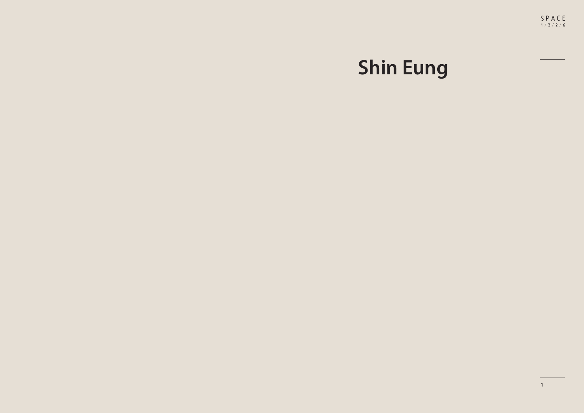## **Shin Eung**

 $SPACE$ <br> $1/3/2/6$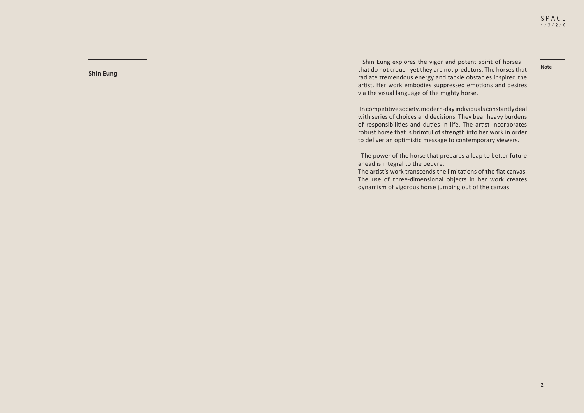**Note**

**Shin Eung**

 Shin Eung explores the vigor and potent spirit of horses― that do not crouch yet they are not predators. The horses that radiate tremendous energy and tackle obstacles inspired the artist. Her work embodies suppressed emotions and desires via the visual language of the mighty horse.

 In competitive society, modern-day individuals constantly deal with series of choices and decisions. They bear heavy burdens of responsibilities and duties in life. The artist incorporates robust horse that is brimful of strength into her work in order to deliver an optimistic message to contemporary viewers.

 The power of the horse that prepares a leap to better future ahead is integral to the oeuvre.

The artist's work transcends the limitations of the flat canvas. The use of three-dimensional objects in her work creates dynamism of vigorous horse jumping out of the canvas.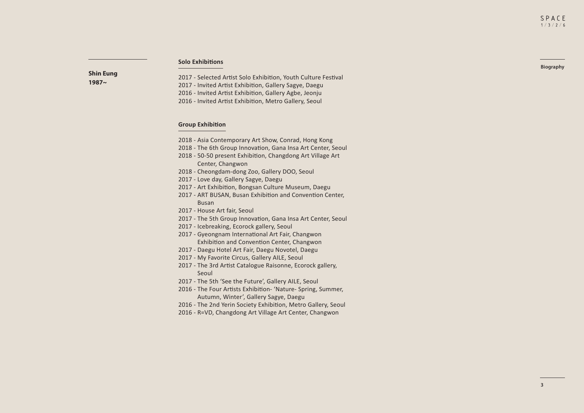**Biography**

## **Solo Exhibitions**

**Shin Eung 1987~**

2017 - Selected Artist Solo Exhibition, Youth Culture Festival 2017 - Invited Artist Exhibition, Gallery Sagye, Daegu 2016 - Invited Artist Exhibition, Gallery Agbe, Jeonju 2016 - Invited Artist Exhibition, Metro Gallery, Seoul

## **Group Exhibition**

- 2018 Asia Contemporary Art Show, Conrad, Hong Kong
- 2018 The 6th Group Innovation, Gana Insa Art Center, Seoul
- 2018 50-50 present Exhibition, Changdong Art Village Art Center, Changwon
- 2018 Cheongdam-dong Zoo, Gallery DOO, Seoul
- 2017 Love day, Gallery Sagye, Daegu
- 2017 Art Exhibition, Bongsan Culture Museum, Daegu
- 2017 ART BUSAN, Busan Exhibition and Convention Center, Busan
- 2017 House Art fair, Seoul
- 2017 The 5th Group Innovation, Gana Insa Art Center, Seoul
- 2017 Icebreaking, Ecorock gallery, Seoul
- 2017 Gyeongnam International Art Fair, Changwon Exhibition and Convention Center, Changwon
- 2017 Daegu Hotel Art Fair, Daegu Novotel, Daegu
- 2017 My Favorite Circus, Gallery AILE, Seoul
- 2017 The 3rd Artist Catalogue Raisonne, Ecorock gallery, Seoul
- 2017 The 5th 'See the Future', Gallery AILE, Seoul
- 2016 The Four Artists Exhibition- 'Nature- Spring, Summer, Autumn, Winter', Gallery Sagye, Daegu
- 2016 The 2nd Yerin Society Exhibition, Metro Gallery, Seoul
- 2016 R=VD, Changdong Art Village Art Center, Changwon